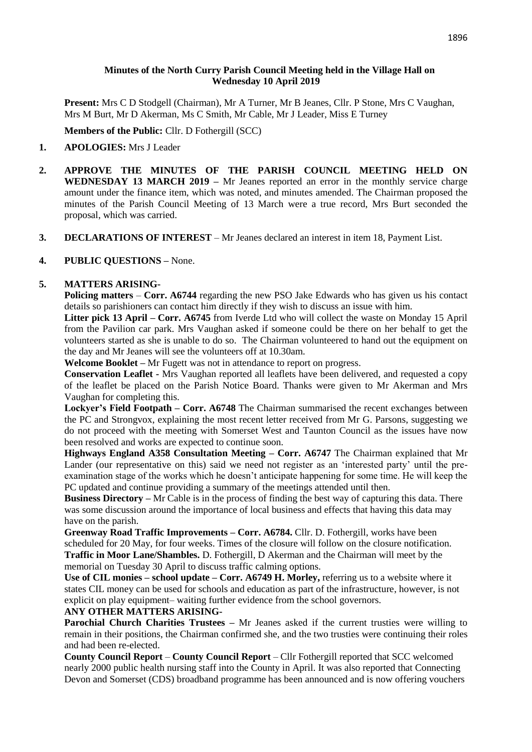### **Minutes of the North Curry Parish Council Meeting held in the Village Hall on Wednesday 10 April 2019**

**Present:** Mrs C D Stodgell (Chairman), Mr A Turner, Mr B Jeanes, Cllr. P Stone, Mrs C Vaughan, Mrs M Burt, Mr D Akerman, Ms C Smith, Mr Cable, Mr J Leader, Miss E Turney

**Members of the Public:** Cllr. D Fothergill (SCC)

## **1. APOLOGIES:** Mrs J Leader

- **2. APPROVE THE MINUTES OF THE PARISH COUNCIL MEETING HELD ON WEDNESDAY 13 MARCH 2019 –** Mr Jeanes reported an error in the monthly service charge amount under the finance item, which was noted, and minutes amended. The Chairman proposed the minutes of the Parish Council Meeting of 13 March were a true record, Mrs Burt seconded the proposal, which was carried.
- **3. DECLARATIONS OF INTEREST** Mr Jeanes declared an interest in item 18, Payment List.

### **4. PUBLIC QUESTIONS –** None.

### **5. MATTERS ARISING-**

**Policing matters – Corr. A6744** regarding the new PSO Jake Edwards who has given us his contact details so parishioners can contact him directly if they wish to discuss an issue with him.

**Litter pick 13 April – Corr. A6745** from Iverde Ltd who will collect the waste on Monday 15 April from the Pavilion car park. Mrs Vaughan asked if someone could be there on her behalf to get the volunteers started as she is unable to do so. The Chairman volunteered to hand out the equipment on the day and Mr Jeanes will see the volunteers off at 10.30am.

**Welcome Booklet –** Mr Fugett was not in attendance to report on progress.

**Conservation Leaflet -** Mrs Vaughan reported all leaflets have been delivered, and requested a copy of the leaflet be placed on the Parish Notice Board. Thanks were given to Mr Akerman and Mrs Vaughan for completing this.

**Lockyer's Field Footpath – Corr. A6748** The Chairman summarised the recent exchanges between the PC and Strongvox, explaining the most recent letter received from Mr G. Parsons, suggesting we do not proceed with the meeting with Somerset West and Taunton Council as the issues have now been resolved and works are expected to continue soon.

**Highways England A358 Consultation Meeting – Corr. A6747** The Chairman explained that Mr Lander (our representative on this) said we need not register as an 'interested party' until the preexamination stage of the works which he doesn't anticipate happening for some time. He will keep the PC updated and continue providing a summary of the meetings attended until then.

**Business Directory –** Mr Cable is in the process of finding the best way of capturing this data. There was some discussion around the importance of local business and effects that having this data may have on the parish.

**Greenway Road Traffic Improvements – Corr. A6784.** Cllr. D. Fothergill, works have been scheduled for 20 May, for four weeks. Times of the closure will follow on the closure notification. **Traffic in Moor Lane/Shambles.** D. Fothergill, D Akerman and the Chairman will meet by the memorial on Tuesday 30 April to discuss traffic calming options.

**Use of CIL monies – school update – Corr. A6749 H. Morley,** referring us to a website where it states CIL money can be used for schools and education as part of the infrastructure, however, is not explicit on play equipment– waiting further evidence from the school governors.

### **ANY OTHER MATTERS ARISING-**

**Parochial Church Charities Trustees –** Mr Jeanes asked if the current trusties were willing to remain in their positions, the Chairman confirmed she, and the two trusties were continuing their roles and had been re-elected.

**County Council Report** – **County Council Report** – Cllr Fothergill reported that SCC welcomed nearly 2000 public health nursing staff into the County in April. It was also reported that Connecting Devon and Somerset (CDS) broadband programme has been announced and is now offering vouchers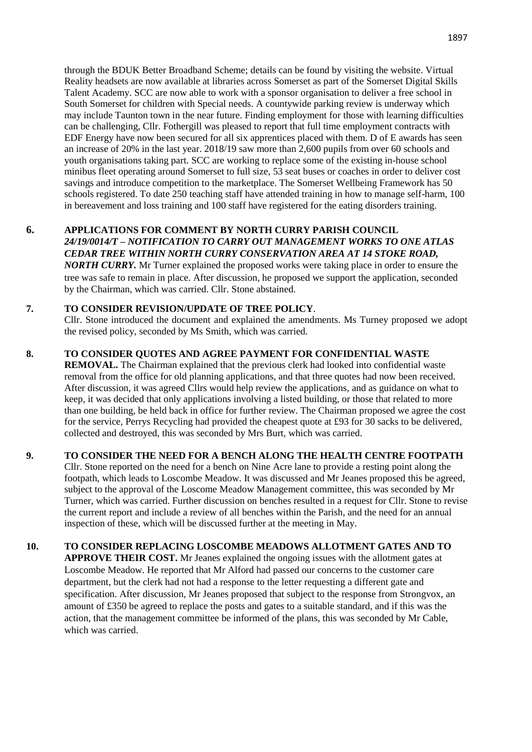through the BDUK Better Broadband Scheme; details can be found by visiting the website. Virtual Reality headsets are now available at libraries across Somerset as part of the Somerset Digital Skills Talent Academy. SCC are now able to work with a sponsor organisation to deliver a free school in South Somerset for children with Special needs. A countywide parking review is underway which may include Taunton town in the near future. Finding employment for those with learning difficulties can be challenging, Cllr. Fothergill was pleased to report that full time employment contracts with EDF Energy have now been secured for all six apprentices placed with them. D of E awards has seen an increase of 20% in the last year. 2018/19 saw more than 2,600 pupils from over 60 schools and youth organisations taking part. SCC are working to replace some of the existing in-house school minibus fleet operating around Somerset to full size, 53 seat buses or coaches in order to deliver cost savings and introduce competition to the marketplace. The Somerset Wellbeing Framework has 50 schools registered. To date 250 teaching staff have attended training in how to manage self-harm, 100 in bereavement and loss training and 100 staff have registered for the eating disorders training.

## **6. APPLICATIONS FOR COMMENT BY NORTH CURRY PARISH COUNCIL** *24/19/0014/T – NOTIFICATION TO CARRY OUT MANAGEMENT WORKS TO ONE ATLAS CEDAR TREE WITHIN NORTH CURRY CONSERVATION AREA AT 14 STOKE ROAD, NORTH CURRY.* Mr Turner explained the proposed works were taking place in order to ensure the tree was safe to remain in place. After discussion, he proposed we support the application, seconded by the Chairman, which was carried. Cllr. Stone abstained.

### **7. TO CONSIDER REVISION/UPDATE OF TREE POLICY**.

Cllr. Stone introduced the document and explained the amendments. Ms Turney proposed we adopt the revised policy, seconded by Ms Smith, which was carried.

### **8. TO CONSIDER QUOTES AND AGREE PAYMENT FOR CONFIDENTIAL WASTE**

**REMOVAL.** The Chairman explained that the previous clerk had looked into confidential waste removal from the office for old planning applications, and that three quotes had now been received. After discussion, it was agreed Cllrs would help review the applications, and as guidance on what to keep, it was decided that only applications involving a listed building, or those that related to more than one building, be held back in office for further review. The Chairman proposed we agree the cost for the service, Perrys Recycling had provided the cheapest quote at £93 for 30 sacks to be delivered, collected and destroyed, this was seconded by Mrs Burt, which was carried.

#### **9. TO CONSIDER THE NEED FOR A BENCH ALONG THE HEALTH CENTRE FOOTPATH**

Cllr. Stone reported on the need for a bench on Nine Acre lane to provide a resting point along the footpath, which leads to Loscombe Meadow. It was discussed and Mr Jeanes proposed this be agreed, subject to the approval of the Loscome Meadow Management committee, this was seconded by Mr Turner, which was carried. Further discussion on benches resulted in a request for Cllr. Stone to revise the current report and include a review of all benches within the Parish, and the need for an annual inspection of these, which will be discussed further at the meeting in May.

## **10. TO CONSIDER REPLACING LOSCOMBE MEADOWS ALLOTMENT GATES AND TO**

**APPROVE THEIR COST.** Mr Jeanes explained the ongoing issues with the allotment gates at Loscombe Meadow. He reported that Mr Alford had passed our concerns to the customer care department, but the clerk had not had a response to the letter requesting a different gate and specification. After discussion, Mr Jeanes proposed that subject to the response from Strongvox, an amount of £350 be agreed to replace the posts and gates to a suitable standard, and if this was the action, that the management committee be informed of the plans, this was seconded by Mr Cable, which was carried.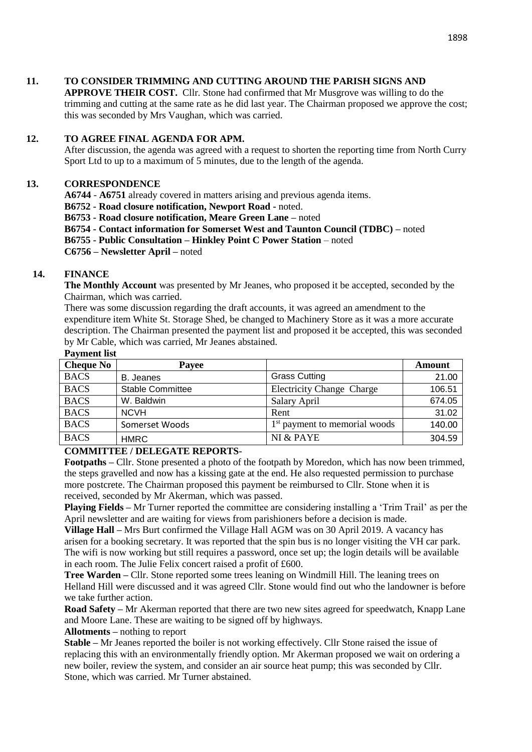## **11. TO CONSIDER TRIMMING AND CUTTING AROUND THE PARISH SIGNS AND**

**APPROVE THEIR COST.** Cllr. Stone had confirmed that Mr Musgrove was willing to do the trimming and cutting at the same rate as he did last year. The Chairman proposed we approve the cost; this was seconded by Mrs Vaughan, which was carried.

# **12. TO AGREE FINAL AGENDA FOR APM.**

After discussion, the agenda was agreed with a request to shorten the reporting time from North Curry Sport Ltd to up to a maximum of 5 minutes, due to the length of the agenda.

# **13. CORRESPONDENCE**

**A6744** - **A6751** already covered in matters arising and previous agenda items.

**B6752 - Road closure notification, Newport Road -** noted.

**B6753 - Road closure notification, Meare Green Lane –** noted

**B6754 - Contact information for Somerset West and Taunton Council (TDBC) –** noted

**B6755 - Public Consultation – Hinkley Point C Power Station** – noted

**C6756 – Newsletter April –** noted

# **14. FINANCE**

**The Monthly Account** was presented by Mr Jeanes, who proposed it be accepted, seconded by the Chairman, which was carried.

There was some discussion regarding the draft accounts, it was agreed an amendment to the expenditure item White St. Storage Shed, be changed to Machinery Store as it was a more accurate description. The Chairman presented the payment list and proposed it be accepted, this was seconded by Mr Cable, which was carried, Mr Jeanes abstained.

## **Payment list**

| $\sim$ $\sim$ $\sim$ $\sim$ $\sim$ $\sim$ $\sim$ |                         |                                           |        |
|--------------------------------------------------|-------------------------|-------------------------------------------|--------|
| <b>Cheque No</b>                                 | Payee                   |                                           | Amount |
| <b>BACS</b>                                      | <b>B.</b> Jeanes        | <b>Grass Cutting</b>                      | 21.00  |
| <b>BACS</b>                                      | <b>Stable Committee</b> | <b>Electricity Change Charge</b>          | 106.51 |
| <b>BACS</b>                                      | W. Baldwin              | Salary April                              | 674.05 |
| <b>BACS</b>                                      | <b>NCVH</b>             | Rent                                      | 31.02  |
| <b>BACS</b>                                      | Somerset Woods          | 1 <sup>st</sup> payment to memorial woods | 140.00 |
| <b>BACS</b>                                      | <b>HMRC</b>             | NI & PAYE                                 | 304.59 |

# **COMMITTEE / DELEGATE REPORTS-**

**Footpaths –** Cllr. Stone presented a photo of the footpath by Moredon, which has now been trimmed, the steps gravelled and now has a kissing gate at the end. He also requested permission to purchase more postcrete. The Chairman proposed this payment be reimbursed to Cllr. Stone when it is received, seconded by Mr Akerman, which was passed.

**Playing Fields –** Mr Turner reported the committee are considering installing a 'Trim Trail' as per the April newsletter and are waiting for views from parishioners before a decision is made.

**Village Hall –** Mrs Burt confirmed the Village Hall AGM was on 30 April 2019. A vacancy has arisen for a booking secretary. It was reported that the spin bus is no longer visiting the VH car park. The wifi is now working but still requires a password, once set up; the login details will be available in each room. The Julie Felix concert raised a profit of £600.

**Tree Warden –** Cllr. Stone reported some trees leaning on Windmill Hill. The leaning trees on Helland Hill were discussed and it was agreed Cllr. Stone would find out who the landowner is before we take further action.

**Road Safety –** Mr Akerman reported that there are two new sites agreed for speedwatch, Knapp Lane and Moore Lane. These are waiting to be signed off by highways.

**Allotments –** nothing to report

**Stable –** Mr Jeanes reported the boiler is not working effectively. Cllr Stone raised the issue of replacing this with an environmentally friendly option. Mr Akerman proposed we wait on ordering a new boiler, review the system, and consider an air source heat pump; this was seconded by Cllr. Stone, which was carried. Mr Turner abstained.